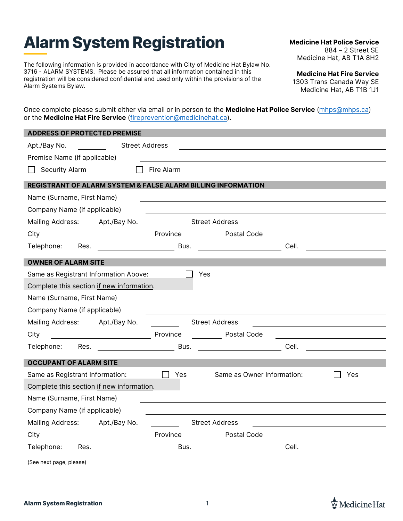## **Alarm System Registration**

The following information is provided in accordance with City of Medicine Hat Bylaw No. 3716 - ALARM SYSTEMS. Please be assured that all information contained in this registration will be considered confidential and used only within the provisions of the Alarm Systems Bylaw.

**Medicine Hat Police Service** 884 – 2 Street SE Medicine Hat, AB T1A 8H2

**Medicine Hat Fire Service** 1303 Trans Canada Way SE Medicine Hat, AB T1B 1J1

Once complete please submit either via email or in person to the **Medicine Hat Police Service** [\(mhps@mhps.ca\)](mailto:mhps@mhps.ca) or the **Medicine Hat Fire Service** [\(fireprevention@medicinehat.ca\)](mailto:fireprevention@medicinehat.ca).

| <b>ADDRESS OF PROTECTED PREMISE</b>                                     |                             |                                          |                                            |  |  |  |  |
|-------------------------------------------------------------------------|-----------------------------|------------------------------------------|--------------------------------------------|--|--|--|--|
| Apt./Bay No.                                                            | <b>Street Address</b>       |                                          |                                            |  |  |  |  |
| Premise Name (if applicable)                                            |                             |                                          |                                            |  |  |  |  |
| <b>Security Alarm</b>                                                   | Fire Alarm                  |                                          |                                            |  |  |  |  |
| <b>REGISTRANT OF ALARM SYSTEM &amp; FALSE ALARM BILLING INFORMATION</b> |                             |                                          |                                            |  |  |  |  |
| Name (Surname, First Name)                                              |                             |                                          |                                            |  |  |  |  |
| Company Name (if applicable)                                            |                             |                                          |                                            |  |  |  |  |
| <b>Mailing Address:</b>                                                 | Apt./Bay No.                | <b>Street Address</b>                    |                                            |  |  |  |  |
| City<br><u> 1990 - Johann Barbara, martin a</u>                         | Province                    | <b>Postal Code</b>                       |                                            |  |  |  |  |
| Telephone:<br>Res.                                                      |                             |                                          | Cell.                                      |  |  |  |  |
| <b>OWNER OF ALARM SITE</b>                                              |                             |                                          |                                            |  |  |  |  |
| Same as Registrant Information Above:                                   |                             | Yes                                      |                                            |  |  |  |  |
| Complete this section if new information.                               |                             |                                          |                                            |  |  |  |  |
| Name (Surname, First Name)                                              |                             |                                          |                                            |  |  |  |  |
| Company Name (if applicable)                                            |                             |                                          |                                            |  |  |  |  |
| Mailing Address: Apt./Bay No.                                           |                             | <b>Street Address</b>                    |                                            |  |  |  |  |
| City                                                                    | Province                    | <b>Postal Code</b>                       |                                            |  |  |  |  |
| Telephone:<br>Res.                                                      | and the control of the Bus. |                                          |                                            |  |  |  |  |
| <b>OCCUPANT OF ALARM SITE</b>                                           |                             |                                          |                                            |  |  |  |  |
| Same as Registrant Information:                                         |                             | Same as Owner Information:<br><b>Yes</b> | Yes                                        |  |  |  |  |
| Complete this section if new information.                               |                             |                                          |                                            |  |  |  |  |
| Name (Surname, First Name)                                              |                             |                                          |                                            |  |  |  |  |
| Company Name (if applicable)                                            |                             |                                          |                                            |  |  |  |  |
| Mailing Address: Apt./Bay No.                                           |                             | <b>Street Address</b>                    |                                            |  |  |  |  |
| City                                                                    | Province                    | Postal Code                              |                                            |  |  |  |  |
| Telephone:<br>Res.                                                      |                             | Bus.                                     | <b>Cell. Cell Cell Cell Cell Cell Cell</b> |  |  |  |  |
| (See next page, please)                                                 |                             |                                          |                                            |  |  |  |  |